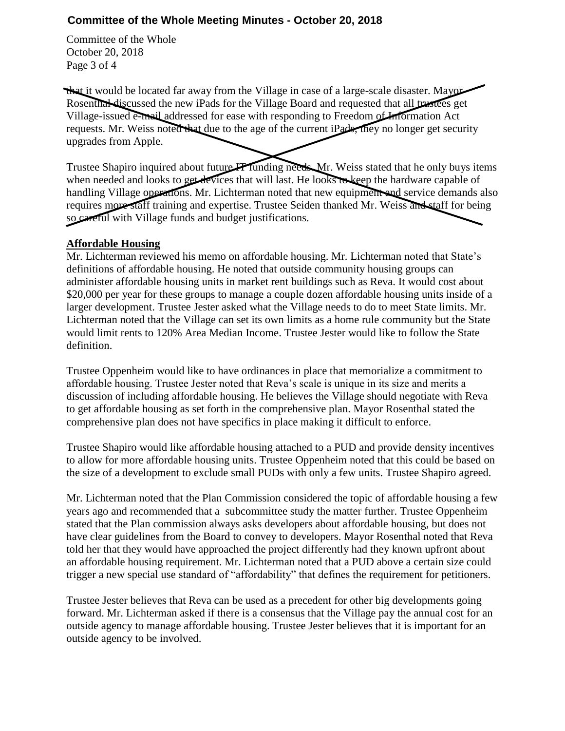## **Committee of the Whole Meeting Minutes - October 20, 2018**

Committee of the Whole October 20, 2018 Page 3 of 4

that it would be located far away from the Village in case of a large-scale disaster. Mayor Rosenthal discussed the new iPads for the Village Board and requested that all trustees get Village-issued e-mail addressed for ease with responding to Freedom of Information Act requests. Mr. Weiss noted that due to the age of the current iPads, they no longer get security upgrades from Apple.

Trustee Shapiro inquired about future IT funding needs. Mr. Weiss stated that he only buys items when needed and looks to get devices that will last. He looks to keep the hardware capable of handling Village operations. Mr. Lichterman noted that new equipment and service demands also requires more staff training and expertise. Trustee Seiden thanked Mr. Weiss and staff for being so careful with Village funds and budget justifications.

## **Affordable Housing**

Mr. Lichterman reviewed his memo on affordable housing. Mr. Lichterman noted that State's definitions of affordable housing. He noted that outside community housing groups can administer affordable housing units in market rent buildings such as Reva. It would cost about \$20,000 per year for these groups to manage a couple dozen affordable housing units inside of a larger development. Trustee Jester asked what the Village needs to do to meet State limits. Mr. Lichterman noted that the Village can set its own limits as a home rule community but the State would limit rents to 120% Area Median Income. Trustee Jester would like to follow the State definition.

Trustee Oppenheim would like to have ordinances in place that memorialize a commitment to affordable housing. Trustee Jester noted that Reva's scale is unique in its size and merits a discussion of including affordable housing. He believes the Village should negotiate with Reva to get affordable housing as set forth in the comprehensive plan. Mayor Rosenthal stated the comprehensive plan does not have specifics in place making it difficult to enforce.

Trustee Shapiro would like affordable housing attached to a PUD and provide density incentives to allow for more affordable housing units. Trustee Oppenheim noted that this could be based on the size of a development to exclude small PUDs with only a few units. Trustee Shapiro agreed.

Mr. Lichterman noted that the Plan Commission considered the topic of affordable housing a few years ago and recommended that a subcommittee study the matter further. Trustee Oppenheim stated that the Plan commission always asks developers about affordable housing, but does not have clear guidelines from the Board to convey to developers. Mayor Rosenthal noted that Reva told her that they would have approached the project differently had they known upfront about an affordable housing requirement. Mr. Lichterman noted that a PUD above a certain size could trigger a new special use standard of "affordability" that defines the requirement for petitioners.

Trustee Jester believes that Reva can be used as a precedent for other big developments going forward. Mr. Lichterman asked if there is a consensus that the Village pay the annual cost for an outside agency to manage affordable housing. Trustee Jester believes that it is important for an outside agency to be involved.